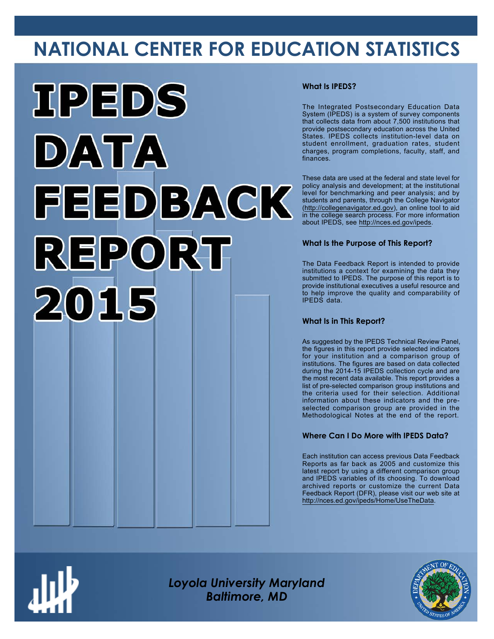# **NATIONAL CENTER FOR EDUCATION STATISTICS**



#### **What Is IPEDS?**

The Integrated Postsecondary Education Data System (IPEDS) is a system of survey components that collects data from about 7,500 institutions that provide postsecondary education across the United States. IPEDS collects institution-level data on student enrollment, graduation rates, student charges, program completions, faculty, staff, and finances.

These data are used at the federal and state level for policy analysis and development; at the institutional level for benchmarking and peer analysis; and by students and parents, through the College Navigator ([http://collegenavigator.ed.gov\)](http://collegenavigator.ed.gov), an online tool to aid in the college search process. For more information about IPEDS, see [http://nces.ed.gov/ipeds.](http://nces.ed.gov/ipeds)

#### **What Is the Purpose of This Report?**

The Data Feedback Report is intended to provide institutions a context for examining the data they submitted to IPEDS. The purpose of this report is to provide institutional executives a useful resource and to help improve the quality and comparability of IPEDS data.

#### **What Is in This Report?**

As suggested by the IPEDS Technical Review Panel, the figures in this report provide selected indicators for your institution and a comparison group of institutions. The figures are based on data collected during the 2014-15 IPEDS collection cycle and are the most recent data available. This report provides a list of pre-selected comparison group institutions and the criteria used for their selection. Additional information about these indicators and the preselected comparison group are provided in the Methodological Notes at the end of the report.

#### **Where Can I Do More with IPEDS Data?**

Each institution can access previous Data Feedback Reports as far back as 2005 and customize this latest report by using a different comparison group and IPEDS variables of its choosing. To download archived reports or customize the current Data Feedback Report (DFR), please visit our web site at [http://nces.ed.gov/ipeds/Home/UseTheData.](http://nces.ed.gov/ipeds/Home/UseTheData)



*Loyola University Maryland Baltimore, MD*

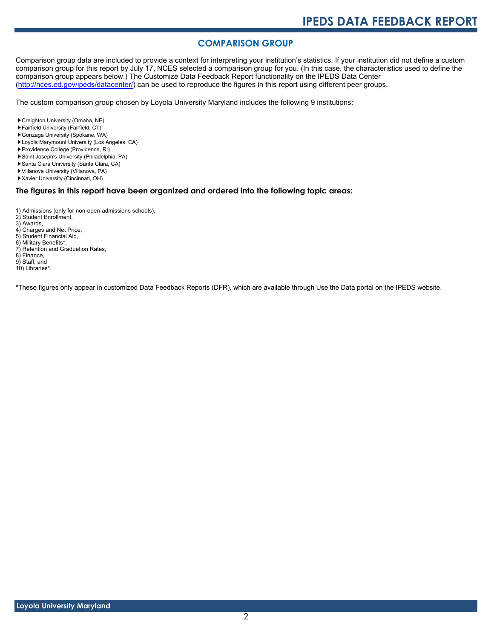#### **COMPARISON GROUP**

Comparison group data are included to provide a context for interpreting your institution's statistics. If your institution did not define a custom comparison group for this report by July 17, NCES selected a comparison group for you. (In this case, the characteristics used to define the comparison group appears below.) The Customize Data Feedback Report functionality on the IPEDS Data Center [\(http://nces.ed.gov/ipeds/datacenter/\)](http://nces.ed.gov/ipeds/datacenter/) can be used to reproduce the figures in this report using different peer groups.

The custom comparison group chosen by Loyola University Maryland includes the following 9 institutions:

- Creighton University (Omaha, NE)
- Fairfield University (Fairfield, CT)
- Gonzaga University (Spokane, WA)
- Loyola Marymount University (Los Angeles, CA)
- Providence College (Providence, RI)
- Saint Joseph's University (Philadelphia, PA)
- Santa Clara University (Santa Clara, CA)
- Villanova University (Villanova, PA)
- Xavier University (Cincinnati, OH)

#### **The figures in this report have been organized and ordered into the following topic areas:**

- 1) Admissions (only for non-open-admissions schools),
- 2) Student Enrollment,
- 3) Awards,
- 4) Charges and Net Price,
- 5) Student Financial Aid,
- 6) Military Benefits\*, 7) Retention and Graduation Rates,
- 8) Finance,
- 9) Staff, and
- 10) Libraries\*.
- 

\*These figures only appear in customized Data Feedback Reports (DFR), which are available through Use the Data portal on the IPEDS website.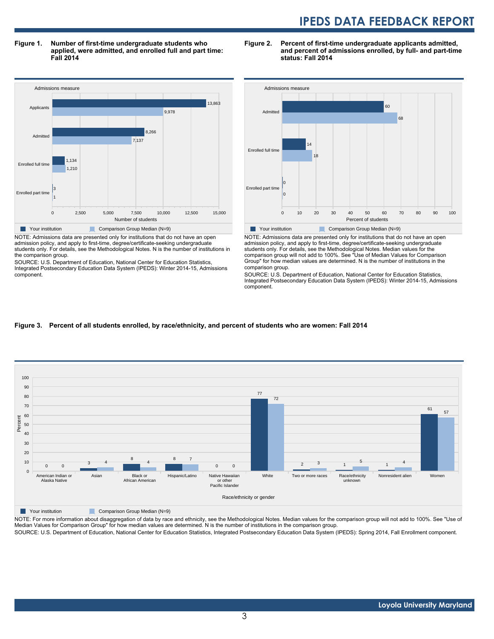**Figure 1. Number of first-time undergraduate students who applied, were admitted, and enrolled full and part time: Fall 2014**



NOTE: Admissions data are presented only for institutions that do not have an open admission policy, and apply to first-time, degree/certificate-seeking undergraduate students only. For details, see the Methodological Notes. N is the number of institutions in the comparison group.

SOURCE: U.S. Department of Education, National Center for Education Statistics, Integrated Postsecondary Education Data System (IPEDS): Winter 2014-15, Admissions component.





NOTE: Admissions data are presented only for institutions that do not have an open admission policy, and apply to first-time, degree/certificate-seeking undergraduate students only. For details, see the Methodological Notes. Median values for the comparison group will not add to 100%. See "Use of Median Values for Comparison Group" for how median values are determined. N is the number of institutions in the comparison group.

SOURCE: U.S. Department of Education, National Center for Education Statistics, Integrated Postsecondary Education Data System (IPEDS): Winter 2014-15, Admissions component.

#### **Figure 3. Percent of all students enrolled, by race/ethnicity, and percent of students who are women: Fall 2014**



Your institution Comparison Group Median (N=9)

NOTE: For more information about disaggregation of data by race and ethnicity, see the Methodological Notes. Median values for the comparison group will not add to 100%. See "Use of Median Values for Comparison Group" for how median values are determined. N is the number of institutions in the comparison group. SOURCE: U.S. Department of Education, National Center for Education Statistics, Integrated Postsecondary Education Data System (IPEDS): Spring 2014, Fall Enrollment component.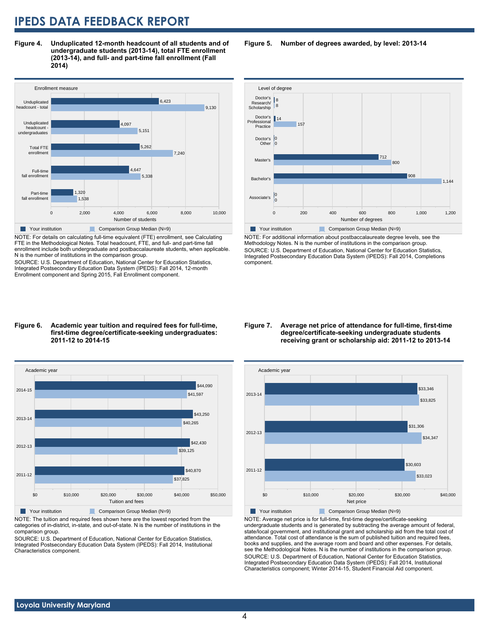**Figure 4. Unduplicated 12-month headcount of all students and of undergraduate students (2013-14), total FTE enrollment (2013-14), and full- and part-time fall enrollment (Fall 2014)**



NOTE: For details on calculating full-time equivalent (FTE) enrollment, see Calculating FTE in the Methodological Notes. Total headcount, FTE, and full- and part-time fall enrollment include both undergraduate and postbaccalaureate students, when applicable. N is the number of institutions in the comparison group.

SOURCE: U.S. Department of Education, National Center for Education Statistics, Integrated Postsecondary Education Data System (IPEDS): Fall 2014, 12-month Enrollment component and Spring 2015, Fall Enrollment component.

#### **Figure 6. Academic year tuition and required fees for full-time, first-time degree/certificate-seeking undergraduates: 2011-12 to 2014-15**



NOTE: The tuition and required fees shown here are the lowest reported from the categories of in-district, in-state, and out-of-state. N is the number of institutions in the comparison group.

SOURCE: U.S. Department of Education, National Center for Education Statistics, Integrated Postsecondary Education Data System (IPEDS): Fall 2014, Institutional Characteristics component.

**Figure 5. Number of degrees awarded, by level: 2013-14**



NOTE: For additional information about postbaccalaureate degree levels, see the Methodology Notes. N is the number of institutions in the comparison group. SOURCE: U.S. Department of Education, National Center for Education Statistics, Integrated Postsecondary Education Data System (IPEDS): Fall 2014, Completions component.

#### **Figure 7. Average net price of attendance for full-time, first-time degree/certificate-seeking undergraduate students receiving grant or scholarship aid: 2011-12 to 2013-14**



NOTE: Average net price is for full-time, first-time degree/certificate-seeking undergraduate students and is generated by subtracting the average amount of federal, state/local government, and institutional grant and scholarship aid from the total cost of attendance. Total cost of attendance is the sum of published tuition and required fees, books and supplies, and the average room and board and other expenses. For details, see the Methodological Notes. N is the number of institutions in the comparison group. SOURCE: U.S. Department of Education, National Center for Education Statistics, Integrated Postsecondary Education Data System (IPEDS): Fall 2014, Institutional Characteristics component; Winter 2014-15, Student Financial Aid component.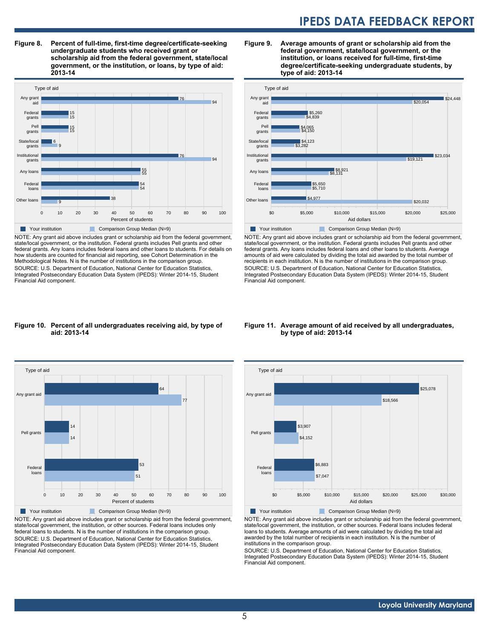**Figure 8. Percent of full-time, first-time degree/certificate-seeking undergraduate students who received grant or scholarship aid from the federal government, state/local government, or the institution, or loans, by type of aid: 2013-14**



NOTE: Any grant aid above includes grant or scholarship aid from the federal government, state/local government, or the institution. Federal grants includes Pell grants and other federal grants. Any loans includes federal loans and other loans to students. For details on how students are counted for financial aid reporting, see Cohort Determination in the Methodological Notes. N is the number of institutions in the comparison group. SOURCE: U.S. Department of Education, National Center for Education Statistics, Integrated Postsecondary Education Data System (IPEDS): Winter 2014-15, Student Financial Aid component.

#### **Figure 9. Average amounts of grant or scholarship aid from the federal government, state/local government, or the institution, or loans received for full-time, first-time degree/certificate-seeking undergraduate students, by type of aid: 2013-14**



NOTE: Any grant aid above includes grant or scholarship aid from the federal government, state/local government, or the institution. Federal grants includes Pell grants and other federal grants. Any loans includes federal loans and other loans to students. Average amounts of aid were calculated by dividing the total aid awarded by the total number of recipients in each institution. N is the number of institutions in the comparison group. SOURCE: U.S. Department of Education, National Center for Education Statistics, Integrated Postsecondary Education Data System (IPEDS): Winter 2014-15, Student Financial Aid component.

#### **Figure 10. Percent of all undergraduates receiving aid, by type of aid: 2013-14**



NOTE: Any grant aid above includes grant or scholarship aid from the federal government, state/local government, the institution, or other sources. Federal loans includes only federal loans to students. N is the number of institutions in the comparison group. SOURCE: U.S. Department of Education, National Center for Education Statistics, Integrated Postsecondary Education Data System (IPEDS): Winter 2014-15, Student Financial Aid component.

#### **Figure 11. Average amount of aid received by all undergraduates, by type of aid: 2013-14**



NOTE: Any grant aid above includes grant or scholarship aid from the federal government, state/local government, the institution, or other sources. Federal loans includes federal loans to students. Average amounts of aid were calculated by dividing the total aid awarded by the total number of recipients in each institution. N is the number of institutions in the comparison group.

SOURCE: U.S. Department of Education, National Center for Education Statistics, Integrated Postsecondary Education Data System (IPEDS): Winter 2014-15, Student Financial Aid component.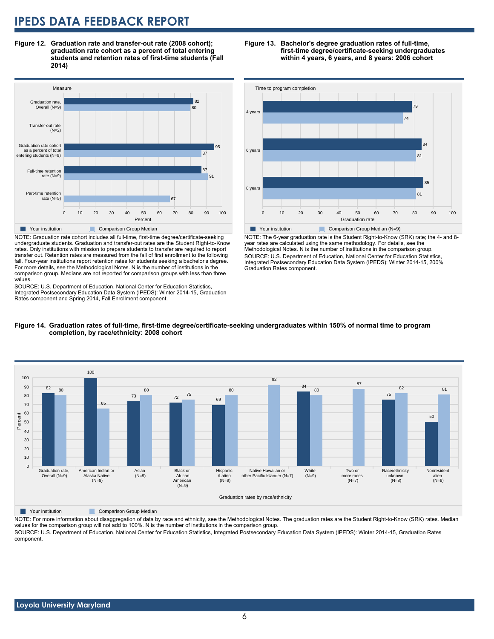**Figure 12. Graduation rate and transfer-out rate (2008 cohort); graduation rate cohort as a percent of total entering students and retention rates of first-time students (Fall 2014)**



NOTE: Graduation rate cohort includes all full-time, first-time degree/certificate-seeking undergraduate students. Graduation and transfer-out rates are the Student Right-to-Know rates. Only institutions with mission to prepare students to transfer are required to report transfer out. Retention rates are measured from the fall of first enrollment to the following fall. Four-year institutions report retention rates for students seeking a bachelor's degree. For more details, see the Methodological Notes. N is the number of institutions in the comparison group. Medians are not reported for comparison groups with less than three values.

SOURCE: U.S. Department of Education, National Center for Education Statistics, Integrated Postsecondary Education Data System (IPEDS): Winter 2014-15, Graduation Rates component and Spring 2014, Fall Enrollment component.





NOTE: The 6-year graduation rate is the Student Right-to-Know (SRK) rate; the 4- and 8 year rates are calculated using the same methodology. For details, see the Methodological Notes. N is the number of institutions in the comparison group. SOURCE: U.S. Department of Education, National Center for Education Statistics, Integrated Postsecondary Education Data System (IPEDS): Winter 2014-15, 200% Graduation Rates component.





**Table 7 Your institution** Comparison Group Median

NOTE: For more information about disaggregation of data by race and ethnicity, see the Methodological Notes. The graduation rates are the Student Right-to-Know (SRK) rates. Median values for the comparison group will not add to 100%. N is the number of institutions in the comparison group.

SOURCE: U.S. Department of Education, National Center for Education Statistics, Integrated Postsecondary Education Data System (IPEDS): Winter 2014-15, Graduation Rates component.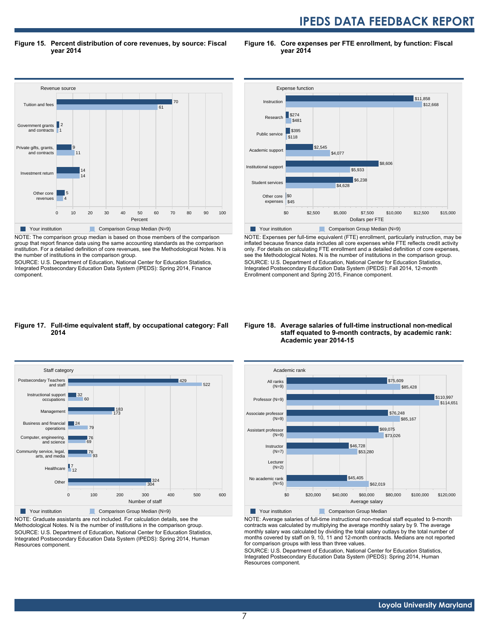**Figure 15. Percent distribution of core revenues, by source: Fiscal year 2014**

**Figure 16. Core expenses per FTE enrollment, by function: Fiscal year 2014**



NOTE: The comparison group median is based on those members of the comparison group that report finance data using the same accounting standards as the comparison institution. For a detailed definition of core revenues, see the Methodological Notes. N is the number of institutions in the comparison group.

SOURCE: U.S. Department of Education, National Center for Education Statistics, Integrated Postsecondary Education Data System (IPEDS): Spring 2014, Finance component.



NOTE: Expenses per full-time equivalent (FTE) enrollment, particularly instruction, may be inflated because finance data includes all core expenses while FTE reflects credit activity only. For details on calculating FTE enrollment and a detailed definition of core expenses, see the Methodological Notes. N is the number of institutions in the comparison group. SOURCE: U.S. Department of Education, National Center for Education Statistics, Integrated Postsecondary Education Data System (IPEDS): Fall 2014, 12-month Enrollment component and Spring 2015, Finance component.

#### **Figure 17. Full-time equivalent staff, by occupational category: Fall 2014**



NOTE: Graduate assistants are not included. For calculation details, see the Methodological Notes. N is the number of institutions in the comparison group. SOURCE: U.S. Department of Education, National Center for Education Statistics, Integrated Postsecondary Education Data System (IPEDS): Spring 2014, Human Resources component.

#### **Figure 18. Average salaries of full-time instructional non-medical staff equated to 9-month contracts, by academic rank: Academic year 2014-15**



NOTE: Average salaries of full-time instructional non-medical staff equated to 9-month contracts was calculated by multiplying the average monthly salary by 9. The average monthly salary was calculated by dividing the total salary outlays by the total number of months covered by staff on 9, 10, 11 and 12-month contracts. Medians are not reported for comparison groups with less than three values.

SOURCE: U.S. Department of Education, National Center for Education Statistics, Integrated Postsecondary Education Data System (IPEDS): Spring 2014, Human Resources component.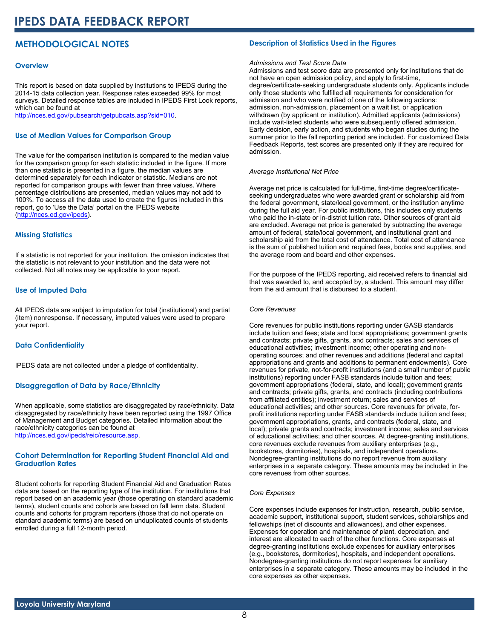### **METHODOLOGICAL NOTES**

#### **Overview**

This report is based on data supplied by institutions to IPEDS during the 2014-15 data collection year. Response rates exceeded 99% for most surveys. Detailed response tables are included in IPEDS First Look reports, which can be found at [http://nces.ed.gov/pubsearch/getpubcats.asp?sid=010.](http://nces.ed.gov/pubsearch/getpubcats.asp?sid=010)

#### **Use of Median Values for Comparison Group**

The value for the comparison institution is compared to the median value for the comparison group for each statistic included in the figure. If more than one statistic is presented in a figure, the median values are determined separately for each indicator or statistic. Medians are not reported for comparison groups with fewer than three values. Where percentage distributions are presented, median values may not add to 100%. To access all the data used to create the figures included in this report, go to 'Use the Data' portal on the IPEDS website ([http://nces.ed.gov/ipeds\)](http://nces.ed.gov/ipeds).

#### **Missing Statistics**

If a statistic is not reported for your institution, the omission indicates that the statistic is not relevant to your institution and the data were not collected. Not all notes may be applicable to your report.

#### **Use of Imputed Data**

All IPEDS data are subject to imputation for total (institutional) and partial (item) nonresponse. If necessary, imputed values were used to prepare your report.

#### **Data Confidentiality**

IPEDS data are not collected under a pledge of confidentiality.

#### **Disaggregation of Data by Race/Ethnicity**

When applicable, some statistics are disaggregated by race/ethnicity. Data disaggregated by race/ethnicity have been reported using the 1997 Office of Management and Budget categories. Detailed information about the race/ethnicity categories can be found at <http://nces.ed.gov/ipeds/reic/resource.asp>.

#### **Cohort Determination for Reporting Student Financial Aid and Graduation Rates**

Student cohorts for reporting Student Financial Aid and Graduation Rates data are based on the reporting type of the institution. For institutions that report based on an academic year (those operating on standard academic terms), student counts and cohorts are based on fall term data. Student counts and cohorts for program reporters (those that do not operate on standard academic terms) are based on unduplicated counts of students enrolled during a full 12-month period.

#### **Description of Statistics Used in the Figures**

#### *Admissions and Test Score Data*

Admissions and test score data are presented only for institutions that do not have an open admission policy, and apply to first-time, degree/certificate-seeking undergraduate students only. Applicants include only those students who fulfilled all requirements for consideration for admission and who were notified of one of the following actions: admission, non-admission, placement on a wait list, or application withdrawn (by applicant or institution). Admitted applicants (admissions) include wait-listed students who were subsequently offered admission. Early decision, early action, and students who began studies during the summer prior to the fall reporting period are included. For customized Data Feedback Reports, test scores are presented only if they are required for admission.

#### *Average Institutional Net Price*

Average net price is calculated for full-time, first-time degree/certificateseeking undergraduates who were awarded grant or scholarship aid from the federal government, state/local government, or the institution anytime during the full aid year. For public institutions, this includes only students who paid the in-state or in-district tuition rate. Other sources of grant aid are excluded. Average net price is generated by subtracting the average amount of federal, state/local government, and institutional grant and scholarship aid from the total cost of attendance. Total cost of attendance is the sum of published tuition and required fees, books and supplies, and the average room and board and other expenses.

For the purpose of the IPEDS reporting, aid received refers to financial aid that was awarded to, and accepted by, a student. This amount may differ from the aid amount that is disbursed to a student.

#### *Core Revenues*

Core revenues for public institutions reporting under GASB standards include tuition and fees; state and local appropriations; government grants and contracts; private gifts, grants, and contracts; sales and services of educational activities; investment income; other operating and nonoperating sources; and other revenues and additions (federal and capital appropriations and grants and additions to permanent endowments). Core revenues for private, not-for-profit institutions (and a small number of public institutions) reporting under FASB standards include tuition and fees; government appropriations (federal, state, and local); government grants and contracts; private gifts, grants, and contracts (including contributions from affiliated entities); investment return; sales and services of educational activities; and other sources. Core revenues for private, forprofit institutions reporting under FASB standards include tuition and fees; government appropriations, grants, and contracts (federal, state, and local); private grants and contracts; investment income; sales and services of educational activities; and other sources. At degree-granting institutions, core revenues exclude revenues from auxiliary enterprises (e.g., bookstores, dormitories), hospitals, and independent operations. Nondegree-granting institutions do no report revenue from auxiliary enterprises in a separate category. These amounts may be included in the core revenues from other sources.

#### *Core Expenses*

Core expenses include expenses for instruction, research, public service, academic support, institutional support, student services, scholarships and fellowships (net of discounts and allowances), and other expenses. Expenses for operation and maintenance of plant, depreciation, and interest are allocated to each of the other functions. Core expenses at degree-granting institutions exclude expenses for auxiliary enterprises (e.g., bookstores, dormitories), hospitals, and independent operations. Nondegree-granting institutions do not report expenses for auxiliary enterprises in a separate category. These amounts may be included in the core expenses as other expenses.